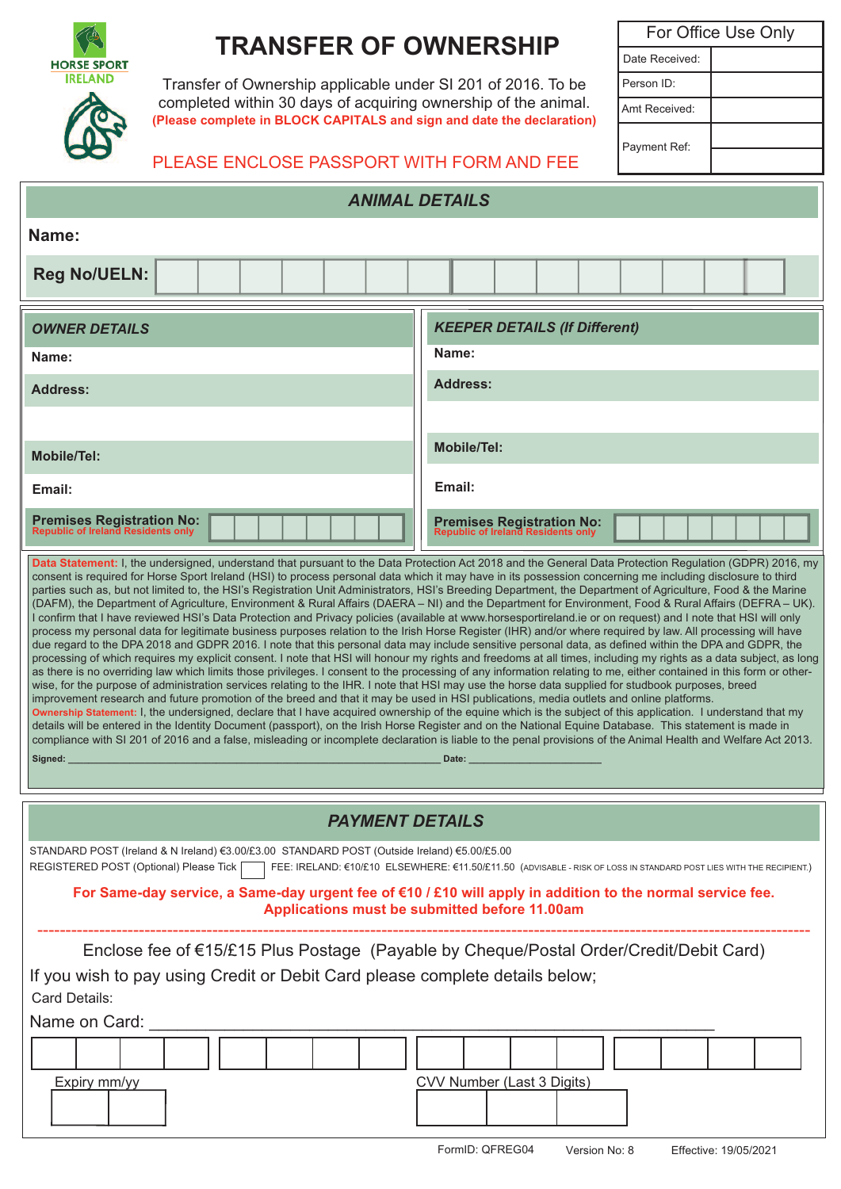

# **TRANSFER OF OWNERSHIP**

Transfer of Ownership applicable under SI 201 of 2016. To be completed within 30 days of acquiring ownership of the animal. **(Please complete in BLOCK CAPITALS and sign and date the declaration)**

For Office Use Only Date Received: Person ID: Amt Received: Payment Ref:

## PLEASE ENCLOSE PASSPORT WITH FORM AND FEE

| <b>ANIMAL DETAILS</b>                                                                                                                                                                                                                                                                                                                                                                                                                                                                                                                                                                                                                                                                                                                                                                                                                                                                                                                                                                                                                                                                                                                                                                                                                                                                                                                                                                                                                                                                                                                                                                                                                                                                                                                                                                                                                                                                                                                                                                                                                                                                                                                                                                                                                                                                                                                                              |                                                                        |
|--------------------------------------------------------------------------------------------------------------------------------------------------------------------------------------------------------------------------------------------------------------------------------------------------------------------------------------------------------------------------------------------------------------------------------------------------------------------------------------------------------------------------------------------------------------------------------------------------------------------------------------------------------------------------------------------------------------------------------------------------------------------------------------------------------------------------------------------------------------------------------------------------------------------------------------------------------------------------------------------------------------------------------------------------------------------------------------------------------------------------------------------------------------------------------------------------------------------------------------------------------------------------------------------------------------------------------------------------------------------------------------------------------------------------------------------------------------------------------------------------------------------------------------------------------------------------------------------------------------------------------------------------------------------------------------------------------------------------------------------------------------------------------------------------------------------------------------------------------------------------------------------------------------------------------------------------------------------------------------------------------------------------------------------------------------------------------------------------------------------------------------------------------------------------------------------------------------------------------------------------------------------------------------------------------------------------------------------------------------------|------------------------------------------------------------------------|
| Name:                                                                                                                                                                                                                                                                                                                                                                                                                                                                                                                                                                                                                                                                                                                                                                                                                                                                                                                                                                                                                                                                                                                                                                                                                                                                                                                                                                                                                                                                                                                                                                                                                                                                                                                                                                                                                                                                                                                                                                                                                                                                                                                                                                                                                                                                                                                                                              |                                                                        |
| <b>Reg No/UELN:</b>                                                                                                                                                                                                                                                                                                                                                                                                                                                                                                                                                                                                                                                                                                                                                                                                                                                                                                                                                                                                                                                                                                                                                                                                                                                                                                                                                                                                                                                                                                                                                                                                                                                                                                                                                                                                                                                                                                                                                                                                                                                                                                                                                                                                                                                                                                                                                |                                                                        |
| <b>OWNER DETAILS</b>                                                                                                                                                                                                                                                                                                                                                                                                                                                                                                                                                                                                                                                                                                                                                                                                                                                                                                                                                                                                                                                                                                                                                                                                                                                                                                                                                                                                                                                                                                                                                                                                                                                                                                                                                                                                                                                                                                                                                                                                                                                                                                                                                                                                                                                                                                                                               | <b>KEEPER DETAILS (If Different)</b>                                   |
| Name:                                                                                                                                                                                                                                                                                                                                                                                                                                                                                                                                                                                                                                                                                                                                                                                                                                                                                                                                                                                                                                                                                                                                                                                                                                                                                                                                                                                                                                                                                                                                                                                                                                                                                                                                                                                                                                                                                                                                                                                                                                                                                                                                                                                                                                                                                                                                                              | Name:                                                                  |
| Address:                                                                                                                                                                                                                                                                                                                                                                                                                                                                                                                                                                                                                                                                                                                                                                                                                                                                                                                                                                                                                                                                                                                                                                                                                                                                                                                                                                                                                                                                                                                                                                                                                                                                                                                                                                                                                                                                                                                                                                                                                                                                                                                                                                                                                                                                                                                                                           | <b>Address:</b>                                                        |
|                                                                                                                                                                                                                                                                                                                                                                                                                                                                                                                                                                                                                                                                                                                                                                                                                                                                                                                                                                                                                                                                                                                                                                                                                                                                                                                                                                                                                                                                                                                                                                                                                                                                                                                                                                                                                                                                                                                                                                                                                                                                                                                                                                                                                                                                                                                                                                    |                                                                        |
| <b>Mobile/Tel:</b>                                                                                                                                                                                                                                                                                                                                                                                                                                                                                                                                                                                                                                                                                                                                                                                                                                                                                                                                                                                                                                                                                                                                                                                                                                                                                                                                                                                                                                                                                                                                                                                                                                                                                                                                                                                                                                                                                                                                                                                                                                                                                                                                                                                                                                                                                                                                                 | <b>Mobile/Tel:</b>                                                     |
| Email:                                                                                                                                                                                                                                                                                                                                                                                                                                                                                                                                                                                                                                                                                                                                                                                                                                                                                                                                                                                                                                                                                                                                                                                                                                                                                                                                                                                                                                                                                                                                                                                                                                                                                                                                                                                                                                                                                                                                                                                                                                                                                                                                                                                                                                                                                                                                                             | Email:                                                                 |
| <b>Premises Registration No:</b><br>Republic of Ireland Residents only                                                                                                                                                                                                                                                                                                                                                                                                                                                                                                                                                                                                                                                                                                                                                                                                                                                                                                                                                                                                                                                                                                                                                                                                                                                                                                                                                                                                                                                                                                                                                                                                                                                                                                                                                                                                                                                                                                                                                                                                                                                                                                                                                                                                                                                                                             | <b>Premises Registration No:</b><br>Republic of Ireland Residents only |
| consent is required for Horse Sport Ireland (HSI) to process personal data which it may have in its possession concerning me including disclosure to third<br>parties such as, but not limited to, the HSI's Registration Unit Administrators, HSI's Breeding Department, the Department of Agriculture, Food & the Marine<br>(DAFM), the Department of Agriculture, Environment & Rural Affairs (DAERA - NI) and the Department for Environment, Food & Rural Affairs (DEFRA - UK).<br>I confirm that I have reviewed HSI's Data Protection and Privacy policies (available at www.horsesportireland.ie or on request) and I note that HSI will only<br>process my personal data for legitimate business purposes relation to the Irish Horse Register (IHR) and/or where required by law. All processing will have<br>due regard to the DPA 2018 and GDPR 2016. I note that this personal data may include sensitive personal data, as defined within the DPA and GDPR, the<br>processing of which requires my explicit consent. I note that HSI will honour my rights and freedoms at all times, including my rights as a data subject, as long<br>as there is no overriding law which limits those privileges. I consent to the processing of any information relating to me, either contained in this form or other-<br>wise, for the purpose of administration services relating to the IHR. I note that HSI may use the horse data supplied for studbook purposes, breed<br>improvement research and future promotion of the breed and that it may be used in HSI publications, media outlets and online platforms.<br>Ownership Statement: I, the undersigned, declare that I have acquired ownership of the equine which is the subject of this application. I understand that my<br>details will be entered in the Identity Document (passport), on the Irish Horse Register and on the National Equine Database. This statement is made in<br>compliance with SI 201 of 2016 and a false, misleading or incomplete declaration is liable to the penal provisions of the Animal Health and Welfare Act 2013.<br>Signed:<br>Date: All and the state of the state of the state of the state of the state of the state of the state of the state of the state of the state of the state of the state of the state of the state of the state of the state of |                                                                        |
| <b>PAYMENT DETAILS</b>                                                                                                                                                                                                                                                                                                                                                                                                                                                                                                                                                                                                                                                                                                                                                                                                                                                                                                                                                                                                                                                                                                                                                                                                                                                                                                                                                                                                                                                                                                                                                                                                                                                                                                                                                                                                                                                                                                                                                                                                                                                                                                                                                                                                                                                                                                                                             |                                                                        |
| STANDARD POST (Ireland & N Ireland) €3.00/£3.00 STANDARD POST (Outside Ireland) €5.00/£5.00<br>REGISTERED POST (Optional) Please Tick<br>FEE: IRELAND: €10/£10 ELSEWHERE: €11.50/£11.50 (ADVISABLE - RISK OF LOSS IN STANDARD POST LIES WITH THE RECIPIENT.)<br>For Same-day service, a Same-day urgent fee of $€10 / £10$ will apply in addition to the normal service fee.<br>Applications must be submitted before 11.00am                                                                                                                                                                                                                                                                                                                                                                                                                                                                                                                                                                                                                                                                                                                                                                                                                                                                                                                                                                                                                                                                                                                                                                                                                                                                                                                                                                                                                                                                                                                                                                                                                                                                                                                                                                                                                                                                                                                                      |                                                                        |
| Enclose fee of €15/£15 Plus Postage (Payable by Cheque/Postal Order/Credit/Debit Card)<br>If you wish to pay using Credit or Debit Card please complete details below;<br>Card Details:<br>Name on Card:                                                                                                                                                                                                                                                                                                                                                                                                                                                                                                                                                                                                                                                                                                                                                                                                                                                                                                                                                                                                                                                                                                                                                                                                                                                                                                                                                                                                                                                                                                                                                                                                                                                                                                                                                                                                                                                                                                                                                                                                                                                                                                                                                           |                                                                        |
| CVV Number (Last 3 Digits)<br>Expiry mm/yy                                                                                                                                                                                                                                                                                                                                                                                                                                                                                                                                                                                                                                                                                                                                                                                                                                                                                                                                                                                                                                                                                                                                                                                                                                                                                                                                                                                                                                                                                                                                                                                                                                                                                                                                                                                                                                                                                                                                                                                                                                                                                                                                                                                                                                                                                                                         |                                                                        |